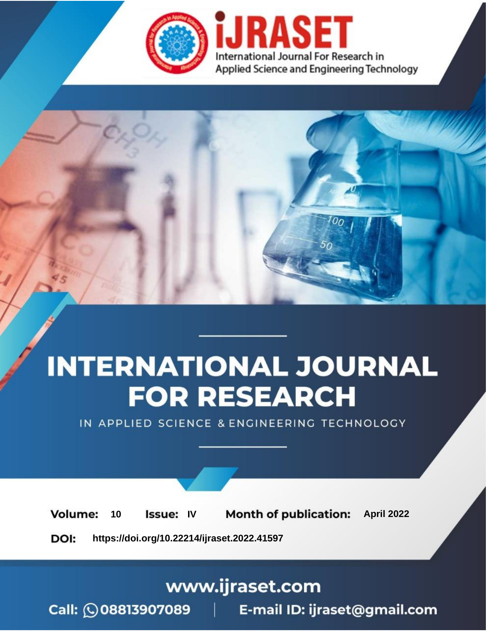

# **INTERNATIONAL JOURNAL FOR RESEARCH**

IN APPLIED SCIENCE & ENGINEERING TECHNOLOGY

10 **Issue: IV Month of publication:** April 2022 **Volume:** 

**https://doi.org/10.22214/ijraset.2022.41597**DOI:

www.ijraset.com

Call: 008813907089 | E-mail ID: ijraset@gmail.com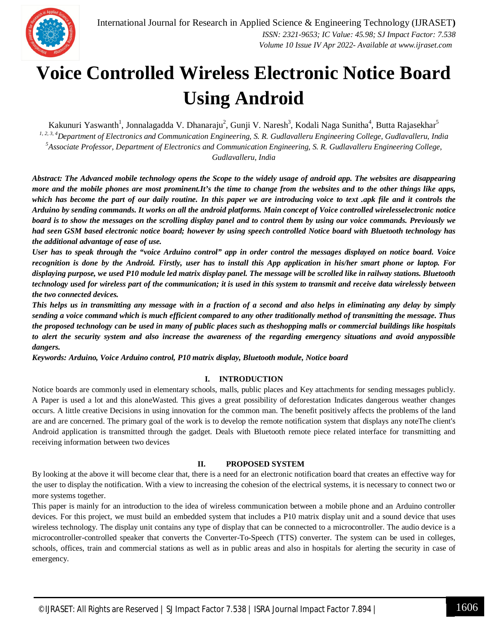

### **Voice Controlled Wireless Electronic Notice Board Using Android**

Kakunuri Yaswanth<sup>1</sup>, Jonnalagadda V. Dhanaraju<sup>2</sup>, Gunji V. Naresh<sup>3</sup>, Kodali Naga Sunitha<sup>4</sup>, Butta Rajasekhar<sup>5</sup> *1, 2, 3, 4Department of Electronics and Communication Engineering, S. R. Gudlavalleru Engineering College, Gudlavalleru, India <sup>5</sup>Associate Professor, Department of Electronics and Communication Engineering, S. R. Gudlavalleru Engineering College, Gudlavalleru, India*

*Abstract: The Advanced mobile technology opens the Scope to the widely usage of android app. The websites are disappearing more and the mobile phones are most prominent.It's the time to change from the websites and to the other things like apps, which has become the part of our daily routine. In this paper we are introducing voice to text .apk file and it controls the Arduino by sending commands. It works on all the android platforms. Main concept of Voice controlled wirelesselectronic notice board is to show the messages on the scrolling display panel and to control them by using our voice commands. Previously we had seen GSM based electronic notice board; however by using speech controlled Notice board with Bluetooth technology has the additional advantage of ease of use.* 

*User has to speak through the "voice Arduino control" app in order control the messages displayed on notice board. Voice recognition is done by the Android. Firstly, user has to install this App application in his/her smart phone or laptop. For displaying purpose, we used P10 module led matrix display panel. The message will be scrolled like in railway stations. Bluetooth technology used for wireless part of the communication; it is used in this system to transmit and receive data wirelessly between the two connected devices.* 

*This helps us in transmitting any message with in a fraction of a second and also helps in eliminating any delay by simply sending a voice command which is much efficient compared to any other traditionally method of transmitting the message. Thus the proposed technology can be used in many of public places such as theshopping malls or commercial buildings like hospitals to alert the security system and also increase the awareness of the regarding emergency situations and avoid anypossible dangers.*

*Keywords: Arduino, Voice Arduino control, P10 matrix display, Bluetooth module, Notice board*

#### **I. INTRODUCTION**

Notice boards are commonly used in elementary schools, malls, public places and Key attachments for sending messages publicly. A Paper is used a lot and this aloneWasted. This gives a great possibility of deforestation Indicates dangerous weather changes occurs. A little creative Decisions in using innovation for the common man. The benefit positively affects the problems of the land are and are concerned. The primary goal of the work is to develop the remote notification system that displays any noteThe client's Android application is transmitted through the gadget. Deals with Bluetooth remote piece related interface for transmitting and receiving information between two devices

#### **II. PROPOSED SYSTEM**

By looking at the above it will become clear that, there is a need for an electronic notification board that creates an effective way for the user to display the notification. With a view to increasing the cohesion of the electrical systems, it is necessary to connect two or more systems together.

This paper is mainly for an introduction to the idea of wireless communication between a mobile phone and an Arduino controller devices. For this project, we must build an embedded system that includes a P10 matrix display unit and a sound device that uses wireless technology. The display unit contains any type of display that can be connected to a microcontroller. The audio device is a microcontroller-controlled speaker that converts the Converter-To-Speech (TTS) converter. The system can be used in colleges, schools, offices, train and commercial stations as well as in public areas and also in hospitals for alerting the security in case of emergency.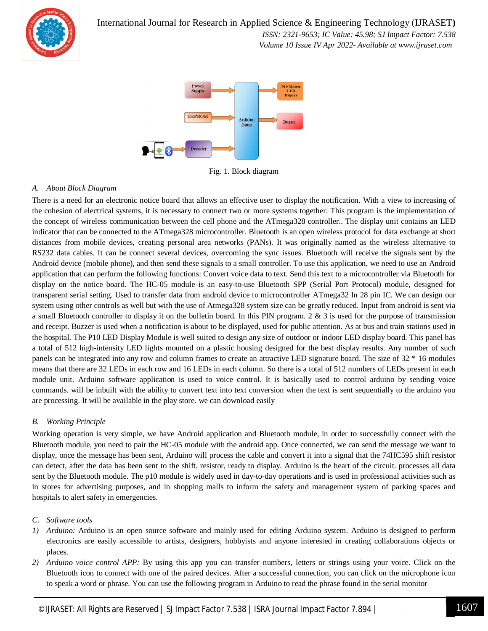

 *ISSN: 2321-9653; IC Value: 45.98; SJ Impact Factor: 7.538 Volume 10 Issue IV Apr 2022- Available at www.ijraset.com*



Fig. 1. Block diagram

#### *A. About Block Diagram*

There is a need for an electronic notice board that allows an effective user to display the notification. With a view to increasing of the cohesion of electrical systems, it is necessary to connect two or more systems together. This program is the implementation of the concept of wireless communication between the cell phone and the ATmega328 controller.. The display unit contains an LED indicator that can be connected to the ATmega328 microcontroller. Bluetooth is an open wireless protocol for data exchange at short distances from mobile devices, creating personal area networks (PANs). It was originally named as the wireless alternative to RS232 data cables. It can be connect several devices, overcoming the sync issues. Bluetooth will receive the signals sent by the Android device (mobile phone), and then send these signals to a small controller. To use this application, we need to use an Android application that can perform the following functions: Convert voice data to text. Send this text to a microcontroller via Bluetooth for display on the notice board. The HC-05 module is an easy-to-use Bluetooth SPP (Serial Port Protocol) module, designed for transparent serial setting. Used to transfer data from android device to microcontroller ATmega32 In 28 pin IC. We can design our system using other controls as well but with the use of Atmega328 system size can be greatly reduced. Input from android is sent via a small Bluetooth controller to display it on the bulletin board. In this PIN program. 2  $\&$  3 is used for the purpose of transmission and receipt. Buzzer is used when a notification is about to be displayed, used for public attention. As at bus and train stations used in the hospital. The P10 LED Display Module is well suited to design any size of outdoor or indoor LED display board. This panel has a total of 512 high-intensity LED lights mounted on a plastic housing designed for the best display results. Any number of such panels can be integrated into any row and column frames to create an attractive LED signature board. The size of 32 \* 16 modules means that there are 32 LEDs in each row and 16 LEDs in each column. So there is a total of 512 numbers of LEDs present in each module unit. Arduino software application is used to voice control. It is basically used to control arduino by sending voice commands. will be inbuilt with the ability to convert text into text conversion when the text is sent sequentially to the arduino you are processing. It will be available in the play store. we can download easily

#### *B. Working Principle*

Working operation is very simple, we have Android application and Bluetooth module, in order to successfully connect with the Bluetooth module, you need to pair the HC-05 module with the android app. Once connected, we can send the message we want to display, once the message has been sent, Arduino will process the cable and convert it into a signal that the 74HC595 shift resistor can detect, after the data has been sent to the shift. resistor, ready to display. Arduino is the heart of the circuit. processes all data sent by the Bluetooth module. The p10 module is widely used in day-to-day operations and is used in professional activities such as in stores for advertising purposes, and in shopping malls to inform the safety and management system of parking spaces and hospitals to alert safety in emergencies.

#### *C. Software tools*

- *1) Arduino:* Arduino is an open source software and mainly used for editing Arduino system. Arduino is designed to perform electronics are easily accessible to artists, designers, hobbyists and anyone interested in creating collaborations objects or places.
- *2) Arduino voice control APP:* By using this app you can transfer numbers, letters or strings using your voice. Click on the Bluetooth icon to connect with one of the paired devices. After a successful connection, you can click on the microphone icon to speak a word or phrase. You can use the following program in Arduino to read the phrase found in the serial monitor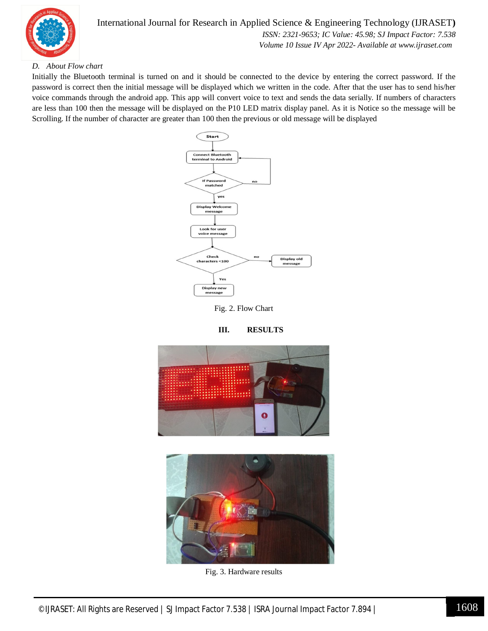

#### *D. About Flow chart*

Initially the Bluetooth terminal is turned on and it should be connected to the device by entering the correct password. If the password is correct then the initial message will be displayed which we written in the code. After that the user has to send his/her voice commands through the android app. This app will convert voice to text and sends the data serially. If numbers of characters are less than 100 then the message will be displayed on the P10 LED matrix display panel. As it is Notice so the message will be Scrolling. If the number of character are greater than 100 then the previous or old message will be displayed



Fig. 2. Flow Chart



**III. RESULTS**

Fig. 3. Hardware results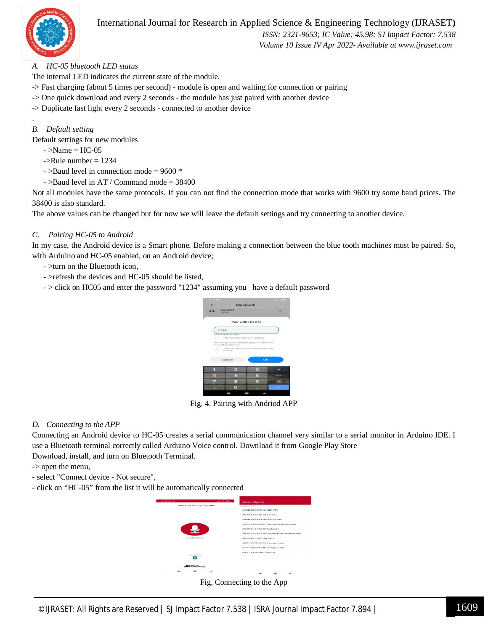

#### International Journal for Research in Applied Science & Engineering Technology (IJRASET**)**

 *ISSN: 2321-9653; IC Value: 45.98; SJ Impact Factor: 7.538 Volume 10 Issue IV Apr 2022- Available at www.ijraset.com*

#### *A. HC-05 bluetooth LED status*

The internal LED indicates the current state of the module.

- -> Fast charging (about 5 times per second) module is open and waiting for connection or pairing
- -> One quick download and every 2 seconds the module has just paired with another device
- -> Duplicate fast light every 2 seconds connected to another device

#### *B. Default setting*

.

Default settings for new modules

- $-$  >Name = HC-05
- $-SRule$  number = 1234
- >Baud level in connection mode = 9600 \*
- $-$  >Baud level in AT / Command mode = 38400

Not all modules have the same protocols. If you can not find the connection mode that works with 9600 try some baud prices. The 38400 is also standard.

The above values can be changed but for now we will leave the default settings and try connecting to another device.

#### *C. Pairing HC-05 to Android*

In my case, the Android device is a Smart phone. Before making a connection between the blue tooth machines must be paired. So, with Arduino and HC-05 enabled, on an Android device;

- >turn on the Bluetooth icon,
- >refresh the devices and HC-05 should be listed,
- > click on HC05 and enter the password "1234" assuming you have a default password



Fig. 4. Pairing with Andriod APP

#### *D. Connecting to the APP*

Connecting an Android device to HC-05 creates a serial communication channel very similar to a serial monitor in Arduino IDE. I use a Bluetooth terminal correctly called Arduino Voice control. Download it from Google Play Store Download, install, and turn on Bluetooth Terminal.

-> open the menu,

- select "Connect device Not secure",
- click on "HC-05" from the list it will be automatically connected

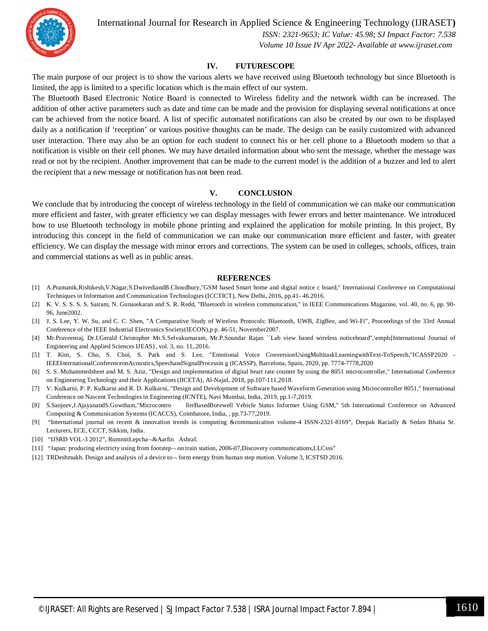

International Journal for Research in Applied Science & Engineering Technology (IJRASET**)**

 *ISSN: 2321-9653; IC Value: 45.98; SJ Impact Factor: 7.538 Volume 10 Issue IV Apr 2022- Available at www.ijraset.com*

#### **IV. FUTURESCOPE**

The main purpose of our project is to show the various alerts we have received using Bluetooth technology but since Bluetooth is limited, the app is limited to a specific location which is the main effect of our system.

The Bluetooth Based Electronic Notice Board is connected to Wireless fidelity and the network width can be increased. The addition of other active parameters such as date and time can be made and the provision for displaying several notifications at once can be achieved from the notice board. A list of specific automated notifications can also be created by our own to be displayed daily as a notification if 'reception' or various positive thoughts can be made. The design can be easily customized with advanced user interaction. There may also be an option for each student to connect his or her cell phone to a Bluetooth modem so that a notification is visible on their cell phones. We may have detailed information about who sent the message, whether the message was read or not by the recipient. Another improvement that can be made to the current model is the addition of a buzzer and led to alert the recipient that a new message or notification has not been read.

#### **V. CONCLUSION**

We conclude that by introducing the concept of wireless technology in the field of communication we can make our communication more efficient and faster, with greater efficiency we can display messages with fewer errors and better maintenance. We introduced how to use Bluetooth technology in mobile phone printing and explained the application for mobile printing. In this project, By introducing this concept in the field of communication we can make our communication more efficient and faster, with greater efficiency. We can display the message with minor errors and corrections. The system can be used in colleges, schools, offices, train and commercial stations as well as in public areas.

#### **REFERENCES**

- [1] A.Pramanik,Rishikesh,V.Nagar,S.DwivediandB.Choudhury,"GSM based Smart home and digital notice c board," International Conference on Computational Techniques in Information and Communication Technologies (ICCTICT), New Delhi, 2016, pp.41- 46.2016.
- [2] K. V. S. S. S. S. Sairam, N. Gunasekaran and S. R. Redd, "Bluetooth in wireless communication," in IEEE Communications Magazine, vol. 40, no. 6, pp. 90- 96, June2002.
- [3] J. S. Lee, Y. W. Su, and C. C. Shen, "A Comparative Study of Wireless Protocols: Bluetooth, UWB, ZigBee, and Wi-Fi", Proceedings of the 33rd Annual Conference of the IEEE Industrial Electronics Society(IECON),p p. 46-51, November2007.
- [4] Mr.Praveenraj, Dr.I.Gerald Christopher Mr.S.Selvakumaram, Mr.P.Soundar Rajan ``Lab view based wireless noticeboard'',\emph{International Journal of Engineering and Applied Sciences IJEAS}, vol. 3, no. 11,.2016.
- [5] T. Kim, S. Cho, S. Choi, S. Park and S. Lee, "Emotional Voice ConversionUsingMultitaskLearningwithText-ToSpeech,"ICASSP2020 IEEEInternationalConferenceonAcoustics,SpeechandSignalProcessin g (ICASSP), Barcelona, Spain, 2020, pp. 7774-7778,2020
- [6] S. S. Mohammedsheet and M. S. Aziz, "Design and implementation of digital heart rate counter by using the 8051 microcontroller," International Conference on Engineering Technology and their Applications (IICETA), Al-Najaf, 2018, pp.107-111,2018.
- [7] V. Kulkarni, P. P. Kulkarni and R. D. Kulkarni, "Design and Development of Software based Waveform Generation using Microcontroller 8051," International Conference on Nascent Technologies in Engineering (ICNTE), Navi Mumbai, India, 2019, pp.1-7,2019.
- [8] S.Sanjeev,J.AjayanandS.Gowtham,"Microcontro llerBasedBorewell Vehicle Status Informer Using GSM," 5th International Conference on Advanced Computing & Communication Systems (ICACCS), Coimbatore, India, , pp.73-77,2019.
- [9] "International journal on recent & innovation trends in computing &communication volume-4 ISSN-2321-8169", Deepak Racially & Sedan Bhatia Sr. Lecturers, ECE, CCCT, Sikkim, India.
- [10] "IJSRD VOL-3 2012", RummitLepcha-&Aarfin Ashraf.
- [11] "Japan: producing electricty using from footstep- on train station, 2006-07, Discovery communications, LLCsss"
- [12] TRDeshmukh. Design and analysis of a device to form energy from human step motion. Volume 3, ICSTSD 2016.